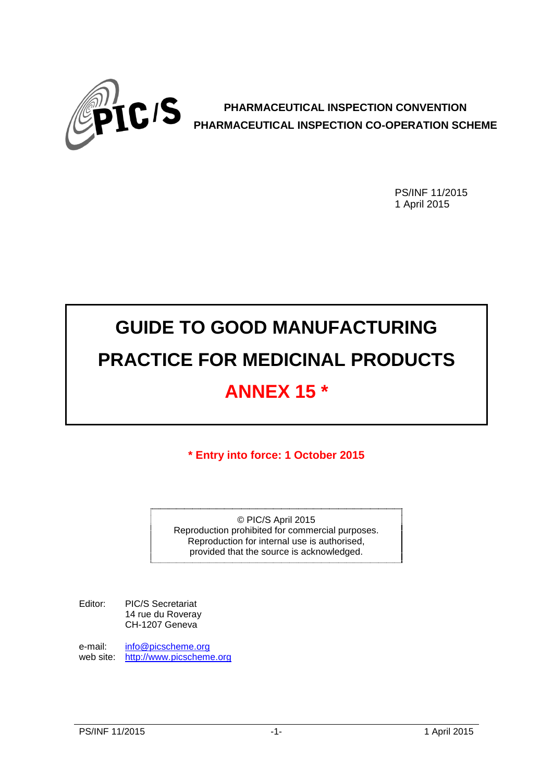

**PHARMACEUTICAL INSPECTION CONVENTION PHARMACEUTICAL INSPECTION CO-OPERATION SCHEME**

> PS/INF 11/2015 1 April 2015

# **GUIDE TO GOOD MANUFACTURING PRACTICE FOR MEDICINAL PRODUCTS ANNEX 15 \***

**\* Entry into force: 1 October 2015**

© PIC/S April 2015 Reproduction prohibited for commercial purposes. Reproduction for internal use is authorised, provided that the source is acknowledged. 

Editor: PIC/S Secretariat 14 rue du Roveray CH-1207 Geneva

e-mail: info@picscheme.org web site: http://www.picscheme.org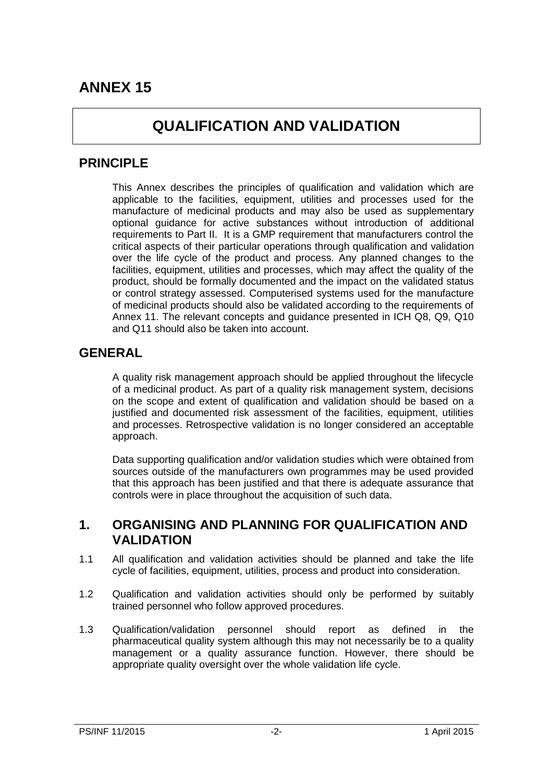# **ANNEX 15**

# **QUALIFICATION AND VALIDATION**

# **PRINCIPLE**

This Annex describes the principles of qualification and validation which are applicable to the facilities, equipment, utilities and processes used for the manufacture of medicinal products and may also be used as supplementary optional guidance for active substances without introduction of additional requirements to Part II. It is a GMP requirement that manufacturers control the critical aspects of their particular operations through qualification and validation over the life cycle of the product and process. Any planned changes to the facilities, equipment, utilities and processes, which may affect the quality of the product, should be formally documented and the impact on the validated status or control strategy assessed. Computerised systems used for the manufacture of medicinal products should also be validated according to the requirements of Annex 11. The relevant concepts and guidance presented in ICH Q8, Q9, Q10 and Q11 should also be taken into account.

# **GENERAL**

A quality risk management approach should be applied throughout the lifecycle of a medicinal product. As part of a quality risk management system, decisions on the scope and extent of qualification and validation should be based on a justified and documented risk assessment of the facilities, equipment, utilities and processes. Retrospective validation is no longer considered an acceptable approach.

Data supporting qualification and/or validation studies which were obtained from sources outside of the manufacturers own programmes may be used provided that this approach has been justified and that there is adequate assurance that controls were in place throughout the acquisition of such data.

### **1. ORGANISING AND PLANNING FOR QUALIFICATION AND VALIDATION**

- 1.1 All qualification and validation activities should be planned and take the life cycle of facilities, equipment, utilities, process and product into consideration.
- 1.2 Qualification and validation activities should only be performed by suitably trained personnel who follow approved procedures.
- 1.3 Qualification/validation personnel should report as defined in the pharmaceutical quality system although this may not necessarily be to a quality management or a quality assurance function. However, there should be appropriate quality oversight over the whole validation life cycle.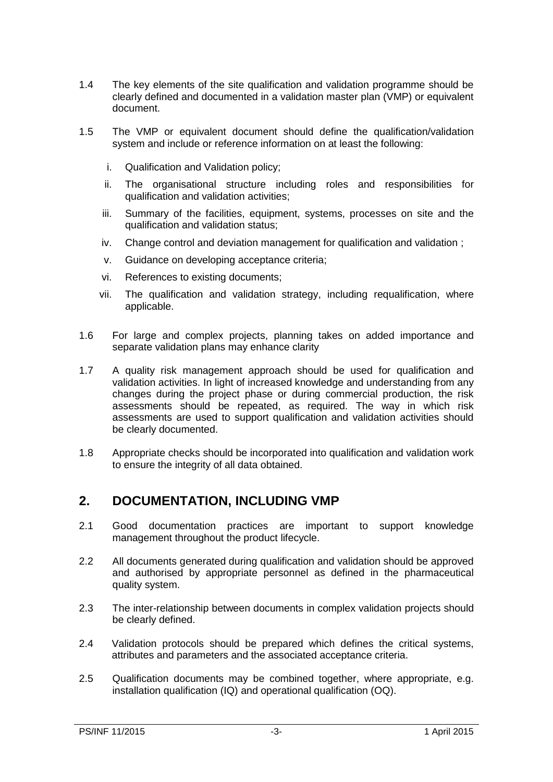- 1.4 The key elements of the site qualification and validation programme should be clearly defined and documented in a validation master plan (VMP) or equivalent document.
- 1.5 The VMP or equivalent document should define the qualification/validation system and include or reference information on at least the following:
	- i. Qualification and Validation policy;
	- ii. The organisational structure including roles and responsibilities for qualification and validation activities;
	- iii. Summary of the facilities, equipment, systems, processes on site and the qualification and validation status;
	- iv. Change control and deviation management for qualification and validation ;
	- v. Guidance on developing acceptance criteria;
	- vi. References to existing documents;
	- vii. The qualification and validation strategy, including requalification, where applicable.
- 1.6 For large and complex projects, planning takes on added importance and separate validation plans may enhance clarity
- 1.7 A quality risk management approach should be used for qualification and validation activities. In light of increased knowledge and understanding from any changes during the project phase or during commercial production, the risk assessments should be repeated, as required. The way in which risk assessments are used to support qualification and validation activities should be clearly documented.
- 1.8 Appropriate checks should be incorporated into qualification and validation work to ensure the integrity of all data obtained.

# **2. DOCUMENTATION, INCLUDING VMP**

- 2.1 Good documentation practices are important to support knowledge management throughout the product lifecycle.
- 2.2 All documents generated during qualification and validation should be approved and authorised by appropriate personnel as defined in the pharmaceutical quality system.
- 2.3 The inter-relationship between documents in complex validation projects should be clearly defined.
- 2.4 Validation protocols should be prepared which defines the critical systems, attributes and parameters and the associated acceptance criteria.
- 2.5 Qualification documents may be combined together, where appropriate, e.g. installation qualification (IQ) and operational qualification (OQ).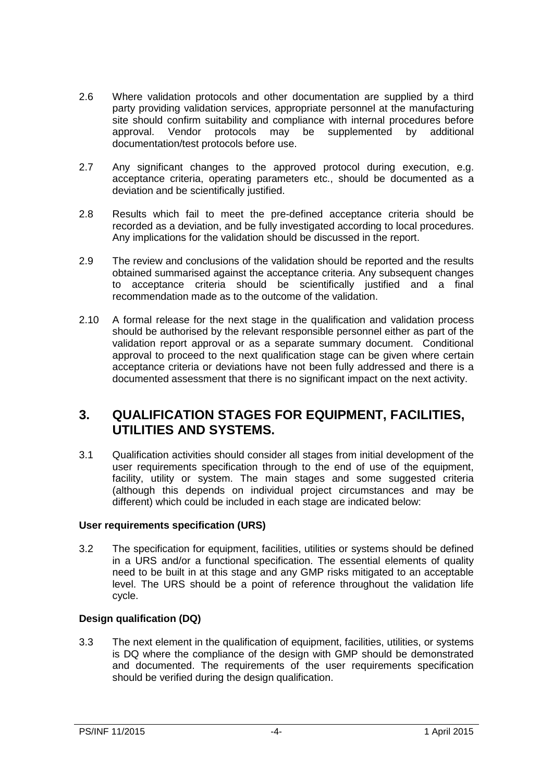- 2.6 Where validation protocols and other documentation are supplied by a third party providing validation services, appropriate personnel at the manufacturing site should confirm suitability and compliance with internal procedures before approval. Vendor protocols may be supplemented by additional supplemented by documentation/test protocols before use.
- 2.7 Any significant changes to the approved protocol during execution, e.g. acceptance criteria, operating parameters etc., should be documented as a deviation and be scientifically justified.
- 2.8 Results which fail to meet the pre-defined acceptance criteria should be recorded as a deviation, and be fully investigated according to local procedures. Any implications for the validation should be discussed in the report.
- 2.9 The review and conclusions of the validation should be reported and the results obtained summarised against the acceptance criteria. Any subsequent changes to acceptance criteria should be scientifically justified and a final recommendation made as to the outcome of the validation.
- 2.10 A formal release for the next stage in the qualification and validation process should be authorised by the relevant responsible personnel either as part of the validation report approval or as a separate summary document. Conditional approval to proceed to the next qualification stage can be given where certain acceptance criteria or deviations have not been fully addressed and there is a documented assessment that there is no significant impact on the next activity.

# **3. QUALIFICATION STAGES FOR EQUIPMENT, FACILITIES, UTILITIES AND SYSTEMS.**

3.1 Qualification activities should consider all stages from initial development of the user requirements specification through to the end of use of the equipment, facility, utility or system. The main stages and some suggested criteria (although this depends on individual project circumstances and may be different) which could be included in each stage are indicated below:

#### **User requirements specification (URS)**

3.2 The specification for equipment, facilities, utilities or systems should be defined in a URS and/or a functional specification. The essential elements of quality need to be built in at this stage and any GMP risks mitigated to an acceptable level. The URS should be a point of reference throughout the validation life cycle.

#### **Design qualification (DQ)**

3.3 The next element in the qualification of equipment, facilities, utilities, or systems is DQ where the compliance of the design with GMP should be demonstrated and documented. The requirements of the user requirements specification should be verified during the design qualification.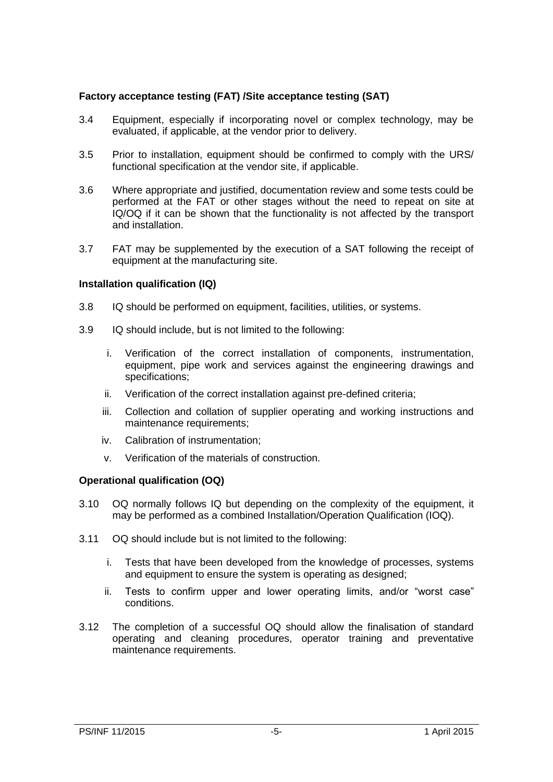#### **Factory acceptance testing (FAT) /Site acceptance testing (SAT)**

- 3.4 Equipment, especially if incorporating novel or complex technology, may be evaluated, if applicable, at the vendor prior to delivery.
- 3.5 Prior to installation, equipment should be confirmed to comply with the URS/ functional specification at the vendor site, if applicable.
- 3.6 Where appropriate and justified, documentation review and some tests could be performed at the FAT or other stages without the need to repeat on site at IQ/OQ if it can be shown that the functionality is not affected by the transport and installation.
- 3.7 FAT may be supplemented by the execution of a SAT following the receipt of equipment at the manufacturing site.

#### **Installation qualification (IQ)**

- 3.8 IQ should be performed on equipment, facilities, utilities, or systems.
- 3.9 IQ should include, but is not limited to the following:
	- i. Verification of the correct installation of components, instrumentation, equipment, pipe work and services against the engineering drawings and specifications;
	- ii. Verification of the correct installation against pre-defined criteria;
	- iii. Collection and collation of supplier operating and working instructions and maintenance requirements;
	- iv. Calibration of instrumentation;
	- v. Verification of the materials of construction.

#### **Operational qualification (OQ)**

- 3.10 OQ normally follows IQ but depending on the complexity of the equipment, it may be performed as a combined Installation/Operation Qualification (IOQ).
- 3.11 OQ should include but is not limited to the following:
	- i. Tests that have been developed from the knowledge of processes, systems and equipment to ensure the system is operating as designed;
	- ii. Tests to confirm upper and lower operating limits, and/or "worst case" conditions.
- 3.12 The completion of a successful OQ should allow the finalisation of standard operating and cleaning procedures, operator training and preventative maintenance requirements.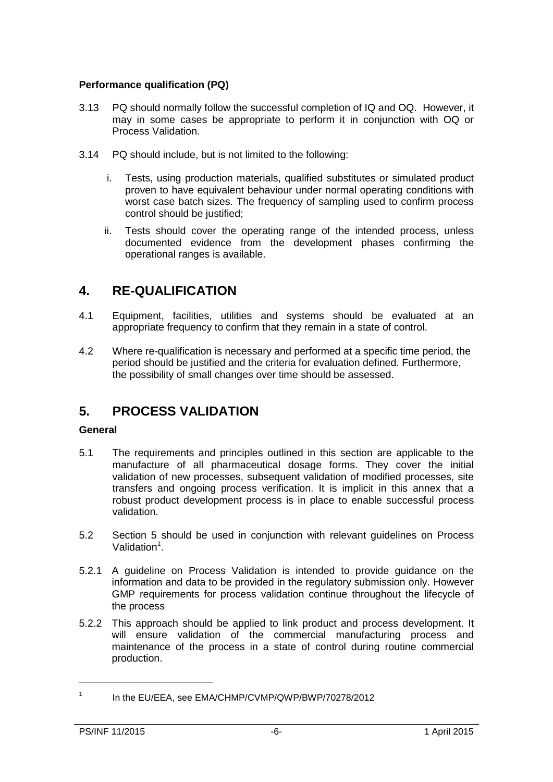#### **Performance qualification (PQ)**

- 3.13 PQ should normally follow the successful completion of IQ and OQ. However, it may in some cases be appropriate to perform it in conjunction with OQ or Process Validation.
- 3.14 PQ should include, but is not limited to the following:
	- i. Tests, using production materials, qualified substitutes or simulated product proven to have equivalent behaviour under normal operating conditions with worst case batch sizes. The frequency of sampling used to confirm process control should be justified;
	- ii. Tests should cover the operating range of the intended process, unless documented evidence from the development phases confirming the operational ranges is available.

# **4. RE-QUALIFICATION**

- 4.1 Equipment, facilities, utilities and systems should be evaluated at an appropriate frequency to confirm that they remain in a state of control.
- 4.2 Where re-qualification is necessary and performed at a specific time period, the period should be justified and the criteria for evaluation defined. Furthermore, the possibility of small changes over time should be assessed.

# **5. PROCESS VALIDATION**

#### **General**

- 5.1 The requirements and principles outlined in this section are applicable to the manufacture of all pharmaceutical dosage forms. They cover the initial validation of new processes, subsequent validation of modified processes, site transfers and ongoing process verification. It is implicit in this annex that a robust product development process is in place to enable successful process validation.
- 5.2 Section 5 should be used in conjunction with relevant guidelines on Process Validation<sup>1</sup>.
- 5.2.1 A guideline on Process Validation is intended to provide guidance on the information and data to be provided in the regulatory submission only. However GMP requirements for process validation continue throughout the lifecycle of the process
- 5.2.2 This approach should be applied to link product and process development. It will ensure validation of the commercial manufacturing process and maintenance of the process in a state of control during routine commercial production.

-

<sup>1</sup> In the EU/EEA, see EMA/CHMP/CVMP/QWP/BWP/70278/2012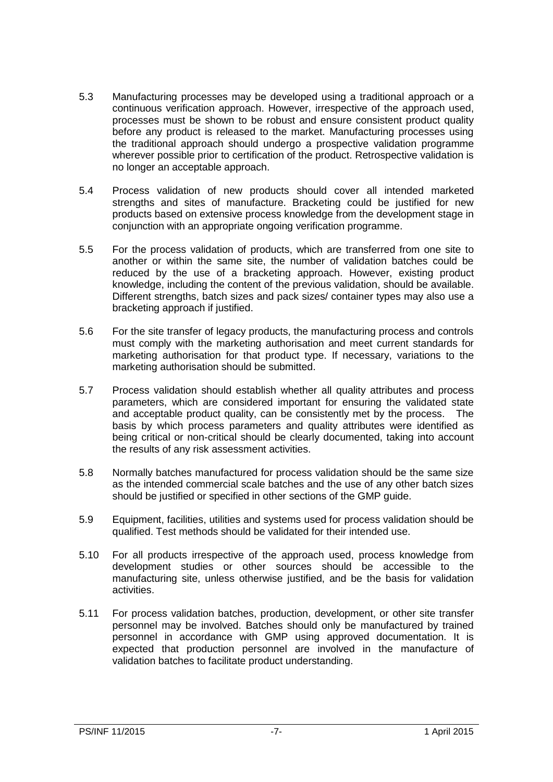- 5.3 Manufacturing processes may be developed using a traditional approach or a continuous verification approach. However, irrespective of the approach used, processes must be shown to be robust and ensure consistent product quality before any product is released to the market. Manufacturing processes using the traditional approach should undergo a prospective validation programme wherever possible prior to certification of the product. Retrospective validation is no longer an acceptable approach.
- 5.4 Process validation of new products should cover all intended marketed strengths and sites of manufacture. Bracketing could be justified for new products based on extensive process knowledge from the development stage in conjunction with an appropriate ongoing verification programme.
- 5.5 For the process validation of products, which are transferred from one site to another or within the same site, the number of validation batches could be reduced by the use of a bracketing approach. However, existing product knowledge, including the content of the previous validation, should be available. Different strengths, batch sizes and pack sizes/ container types may also use a bracketing approach if justified.
- 5.6 For the site transfer of legacy products, the manufacturing process and controls must comply with the marketing authorisation and meet current standards for marketing authorisation for that product type. If necessary, variations to the marketing authorisation should be submitted.
- 5.7 Process validation should establish whether all quality attributes and process parameters, which are considered important for ensuring the validated state and acceptable product quality, can be consistently met by the process. The basis by which process parameters and quality attributes were identified as being critical or non-critical should be clearly documented, taking into account the results of any risk assessment activities.
- 5.8 Normally batches manufactured for process validation should be the same size as the intended commercial scale batches and the use of any other batch sizes should be justified or specified in other sections of the GMP guide.
- 5.9 Equipment, facilities, utilities and systems used for process validation should be qualified. Test methods should be validated for their intended use.
- 5.10 For all products irrespective of the approach used, process knowledge from development studies or other sources should be accessible to the manufacturing site, unless otherwise justified, and be the basis for validation activities.
- 5.11 For process validation batches, production, development, or other site transfer personnel may be involved. Batches should only be manufactured by trained personnel in accordance with GMP using approved documentation. It is expected that production personnel are involved in the manufacture of validation batches to facilitate product understanding.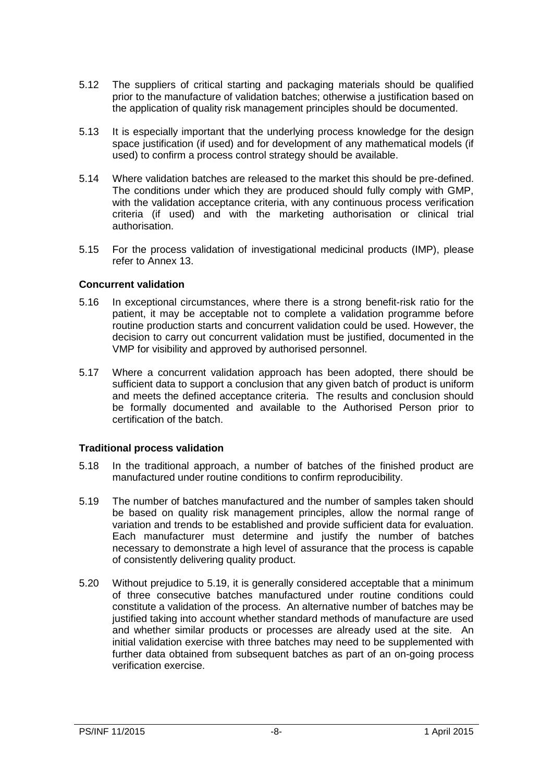- 5.12 The suppliers of critical starting and packaging materials should be qualified prior to the manufacture of validation batches; otherwise a justification based on the application of quality risk management principles should be documented.
- 5.13 It is especially important that the underlying process knowledge for the design space justification (if used) and for development of any mathematical models (if used) to confirm a process control strategy should be available.
- 5.14 Where validation batches are released to the market this should be pre-defined. The conditions under which they are produced should fully comply with GMP, with the validation acceptance criteria, with any continuous process verification criteria (if used) and with the marketing authorisation or clinical trial authorisation.
- 5.15 For the process validation of investigational medicinal products (IMP), please refer to Annex 13.

#### **Concurrent validation**

- 5.16 In exceptional circumstances, where there is a strong benefit-risk ratio for the patient, it may be acceptable not to complete a validation programme before routine production starts and concurrent validation could be used. However, the decision to carry out concurrent validation must be justified, documented in the VMP for visibility and approved by authorised personnel.
- 5.17 Where a concurrent validation approach has been adopted, there should be sufficient data to support a conclusion that any given batch of product is uniform and meets the defined acceptance criteria. The results and conclusion should be formally documented and available to the Authorised Person prior to certification of the batch.

#### **Traditional process validation**

- 5.18 In the traditional approach, a number of batches of the finished product are manufactured under routine conditions to confirm reproducibility.
- 5.19 The number of batches manufactured and the number of samples taken should be based on quality risk management principles, allow the normal range of variation and trends to be established and provide sufficient data for evaluation. Each manufacturer must determine and justify the number of batches necessary to demonstrate a high level of assurance that the process is capable of consistently delivering quality product.
- 5.20 Without prejudice to 5.19, it is generally considered acceptable that a minimum of three consecutive batches manufactured under routine conditions could constitute a validation of the process. An alternative number of batches may be justified taking into account whether standard methods of manufacture are used and whether similar products or processes are already used at the site. An initial validation exercise with three batches may need to be supplemented with further data obtained from subsequent batches as part of an on-going process verification exercise.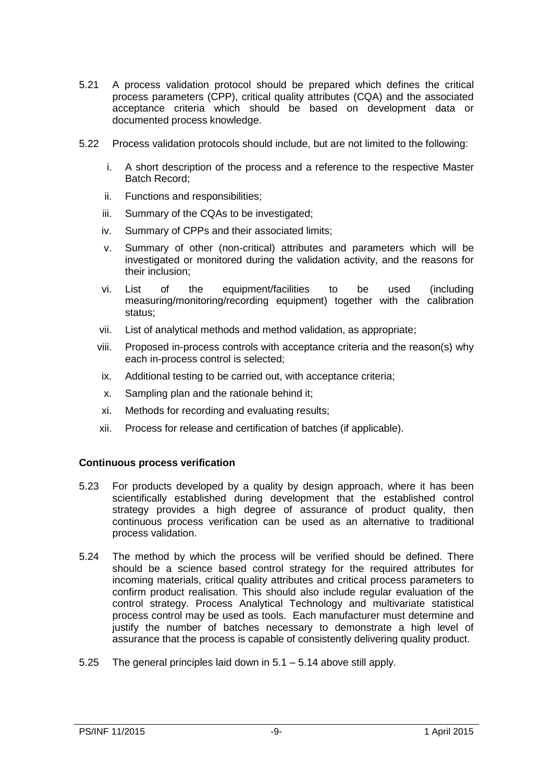- 5.21 A process validation protocol should be prepared which defines the critical process parameters (CPP), critical quality attributes (CQA) and the associated acceptance criteria which should be based on development data or documented process knowledge.
- 5.22 Process validation protocols should include, but are not limited to the following:
	- i. A short description of the process and a reference to the respective Master Batch Record;
	- ii. Functions and responsibilities;
	- iii. Summary of the CQAs to be investigated;
	- iv. Summary of CPPs and their associated limits;
	- v. Summary of other (non-critical) attributes and parameters which will be investigated or monitored during the validation activity, and the reasons for their inclusion;
	- vi. List of the equipment/facilities to be used (including measuring/monitoring/recording equipment) together with the calibration status;
	- vii. List of analytical methods and method validation, as appropriate;
	- viii. Proposed in-process controls with acceptance criteria and the reason(s) why each in-process control is selected;
	- ix. Additional testing to be carried out, with acceptance criteria;
	- x. Sampling plan and the rationale behind it;
	- xi. Methods for recording and evaluating results;
	- xii. Process for release and certification of batches (if applicable).

#### **Continuous process verification**

- 5.23 For products developed by a quality by design approach, where it has been scientifically established during development that the established control strategy provides a high degree of assurance of product quality, then continuous process verification can be used as an alternative to traditional process validation.
- 5.24 The method by which the process will be verified should be defined. There should be a science based control strategy for the required attributes for incoming materials, critical quality attributes and critical process parameters to confirm product realisation. This should also include regular evaluation of the control strategy. Process Analytical Technology and multivariate statistical process control may be used as tools. Each manufacturer must determine and justify the number of batches necessary to demonstrate a high level of assurance that the process is capable of consistently delivering quality product.
- 5.25 The general principles laid down in 5.1 5.14 above still apply.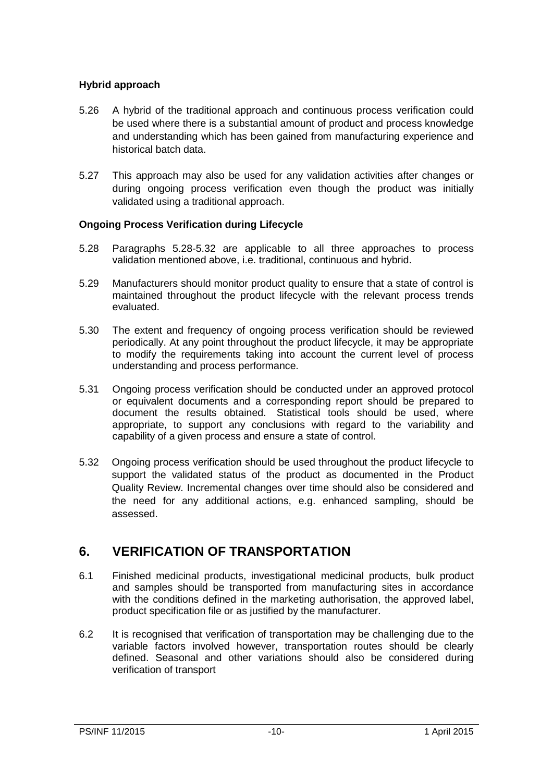#### **Hybrid approach**

- 5.26 A hybrid of the traditional approach and continuous process verification could be used where there is a substantial amount of product and process knowledge and understanding which has been gained from manufacturing experience and historical batch data.
- 5.27 This approach may also be used for any validation activities after changes or during ongoing process verification even though the product was initially validated using a traditional approach.

#### **Ongoing Process Verification during Lifecycle**

- 5.28 Paragraphs 5.28-5.32 are applicable to all three approaches to process validation mentioned above, i.e. traditional, continuous and hybrid.
- 5.29 Manufacturers should monitor product quality to ensure that a state of control is maintained throughout the product lifecycle with the relevant process trends evaluated.
- 5.30 The extent and frequency of ongoing process verification should be reviewed periodically. At any point throughout the product lifecycle, it may be appropriate to modify the requirements taking into account the current level of process understanding and process performance.
- 5.31 Ongoing process verification should be conducted under an approved protocol or equivalent documents and a corresponding report should be prepared to document the results obtained. Statistical tools should be used, where appropriate, to support any conclusions with regard to the variability and capability of a given process and ensure a state of control.
- 5.32 Ongoing process verification should be used throughout the product lifecycle to support the validated status of the product as documented in the Product Quality Review. Incremental changes over time should also be considered and the need for any additional actions, e.g. enhanced sampling, should be assessed.

# **6. VERIFICATION OF TRANSPORTATION**

- 6.1 Finished medicinal products, investigational medicinal products, bulk product and samples should be transported from manufacturing sites in accordance with the conditions defined in the marketing authorisation, the approved label, product specification file or as justified by the manufacturer.
- 6.2 It is recognised that verification of transportation may be challenging due to the variable factors involved however, transportation routes should be clearly defined. Seasonal and other variations should also be considered during verification of transport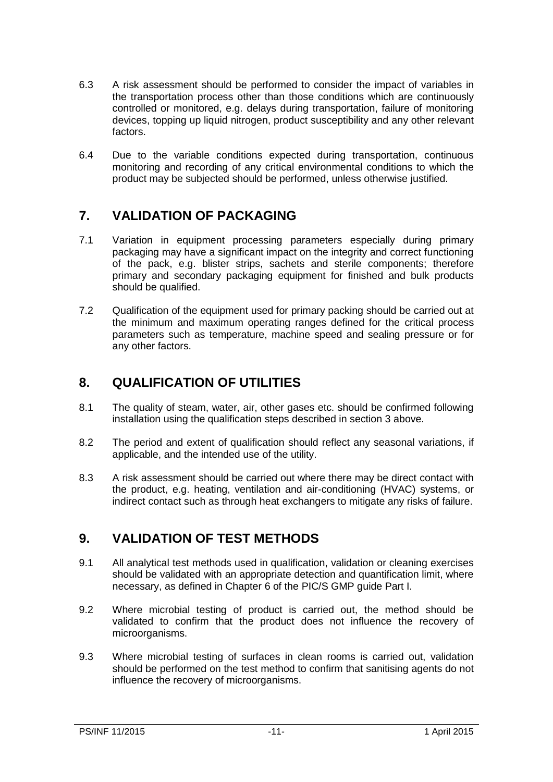- 6.3 A risk assessment should be performed to consider the impact of variables in the transportation process other than those conditions which are continuously controlled or monitored, e.g. delays during transportation, failure of monitoring devices, topping up liquid nitrogen, product susceptibility and any other relevant factors.
- 6.4 Due to the variable conditions expected during transportation, continuous monitoring and recording of any critical environmental conditions to which the product may be subjected should be performed, unless otherwise justified.

# **7. VALIDATION OF PACKAGING**

- 7.1 Variation in equipment processing parameters especially during primary packaging may have a significant impact on the integrity and correct functioning of the pack, e.g. blister strips, sachets and sterile components; therefore primary and secondary packaging equipment for finished and bulk products should be qualified.
- 7.2 Qualification of the equipment used for primary packing should be carried out at the minimum and maximum operating ranges defined for the critical process parameters such as temperature, machine speed and sealing pressure or for any other factors.

# **8. QUALIFICATION OF UTILITIES**

- 8.1 The quality of steam, water, air, other gases etc. should be confirmed following installation using the qualification steps described in section 3 above.
- 8.2 The period and extent of qualification should reflect any seasonal variations, if applicable, and the intended use of the utility.
- 8.3 A risk assessment should be carried out where there may be direct contact with the product, e.g. heating, ventilation and air-conditioning (HVAC) systems, or indirect contact such as through heat exchangers to mitigate any risks of failure.

# **9. VALIDATION OF TEST METHODS**

- 9.1 All analytical test methods used in qualification, validation or cleaning exercises should be validated with an appropriate detection and quantification limit, where necessary, as defined in Chapter 6 of the PIC/S GMP guide Part I.
- 9.2 Where microbial testing of product is carried out, the method should be validated to confirm that the product does not influence the recovery of microorganisms.
- 9.3 Where microbial testing of surfaces in clean rooms is carried out, validation should be performed on the test method to confirm that sanitising agents do not influence the recovery of microorganisms.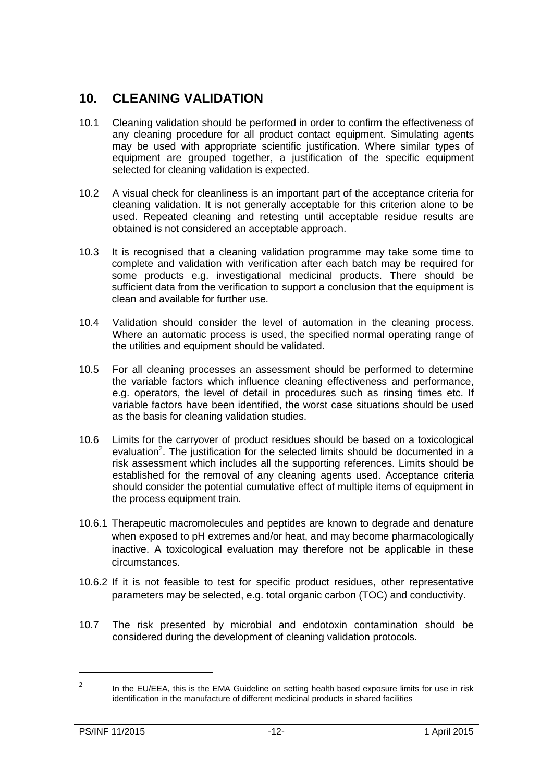# **10. CLEANING VALIDATION**

- 10.1 Cleaning validation should be performed in order to confirm the effectiveness of any cleaning procedure for all product contact equipment. Simulating agents may be used with appropriate scientific justification. Where similar types of equipment are grouped together, a justification of the specific equipment selected for cleaning validation is expected.
- 10.2 A visual check for cleanliness is an important part of the acceptance criteria for cleaning validation. It is not generally acceptable for this criterion alone to be used. Repeated cleaning and retesting until acceptable residue results are obtained is not considered an acceptable approach.
- 10.3 It is recognised that a cleaning validation programme may take some time to complete and validation with verification after each batch may be required for some products e.g. investigational medicinal products. There should be sufficient data from the verification to support a conclusion that the equipment is clean and available for further use.
- 10.4 Validation should consider the level of automation in the cleaning process. Where an automatic process is used, the specified normal operating range of the utilities and equipment should be validated.
- 10.5 For all cleaning processes an assessment should be performed to determine the variable factors which influence cleaning effectiveness and performance, e.g. operators, the level of detail in procedures such as rinsing times etc. If variable factors have been identified, the worst case situations should be used as the basis for cleaning validation studies.
- 10.6 Limits for the carryover of product residues should be based on a toxicological evaluation<sup>2</sup>. The justification for the selected limits should be documented in a risk assessment which includes all the supporting references. Limits should be established for the removal of any cleaning agents used. Acceptance criteria should consider the potential cumulative effect of multiple items of equipment in the process equipment train.
- 10.6.1 Therapeutic macromolecules and peptides are known to degrade and denature when exposed to pH extremes and/or heat, and may become pharmacologically inactive. A toxicological evaluation may therefore not be applicable in these circumstances.
- 10.6.2 If it is not feasible to test for specific product residues, other representative parameters may be selected, e.g. total organic carbon (TOC) and conductivity.
- 10.7 The risk presented by microbial and endotoxin contamination should be considered during the development of cleaning validation protocols.

-

 $\overline{2}$ In the EU/EEA, this is the EMA Guideline on setting health based exposure limits for use in risk identification in the manufacture of different medicinal products in shared facilities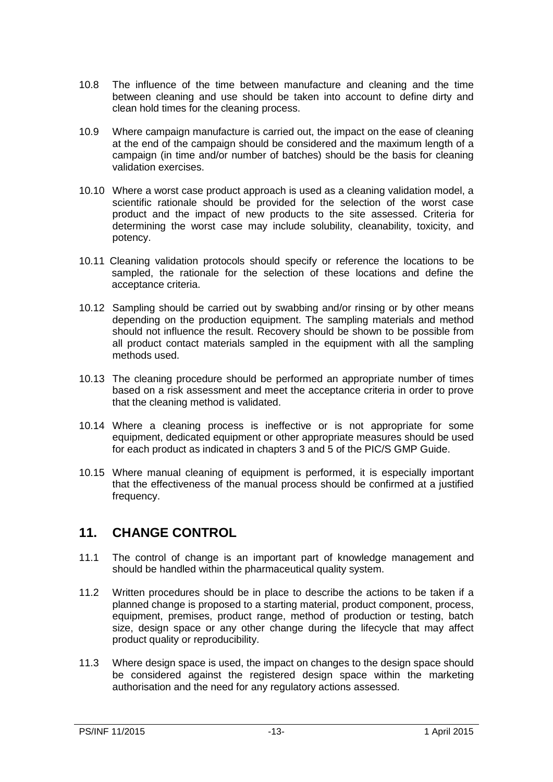- 10.8 The influence of the time between manufacture and cleaning and the time between cleaning and use should be taken into account to define dirty and clean hold times for the cleaning process.
- 10.9 Where campaign manufacture is carried out, the impact on the ease of cleaning at the end of the campaign should be considered and the maximum length of a campaign (in time and/or number of batches) should be the basis for cleaning validation exercises.
- 10.10 Where a worst case product approach is used as a cleaning validation model, a scientific rationale should be provided for the selection of the worst case product and the impact of new products to the site assessed. Criteria for determining the worst case may include solubility, cleanability, toxicity, and potency.
- 10.11 Cleaning validation protocols should specify or reference the locations to be sampled, the rationale for the selection of these locations and define the acceptance criteria.
- 10.12 Sampling should be carried out by swabbing and/or rinsing or by other means depending on the production equipment. The sampling materials and method should not influence the result. Recovery should be shown to be possible from all product contact materials sampled in the equipment with all the sampling methods used.
- 10.13 The cleaning procedure should be performed an appropriate number of times based on a risk assessment and meet the acceptance criteria in order to prove that the cleaning method is validated.
- 10.14 Where a cleaning process is ineffective or is not appropriate for some equipment, dedicated equipment or other appropriate measures should be used for each product as indicated in chapters 3 and 5 of the PIC/S GMP Guide.
- 10.15 Where manual cleaning of equipment is performed, it is especially important that the effectiveness of the manual process should be confirmed at a justified frequency.

# **11. CHANGE CONTROL**

- 11.1 The control of change is an important part of knowledge management and should be handled within the pharmaceutical quality system.
- 11.2 Written procedures should be in place to describe the actions to be taken if a planned change is proposed to a starting material, product component, process, equipment, premises, product range, method of production or testing, batch size, design space or any other change during the lifecycle that may affect product quality or reproducibility.
- 11.3 Where design space is used, the impact on changes to the design space should be considered against the registered design space within the marketing authorisation and the need for any regulatory actions assessed.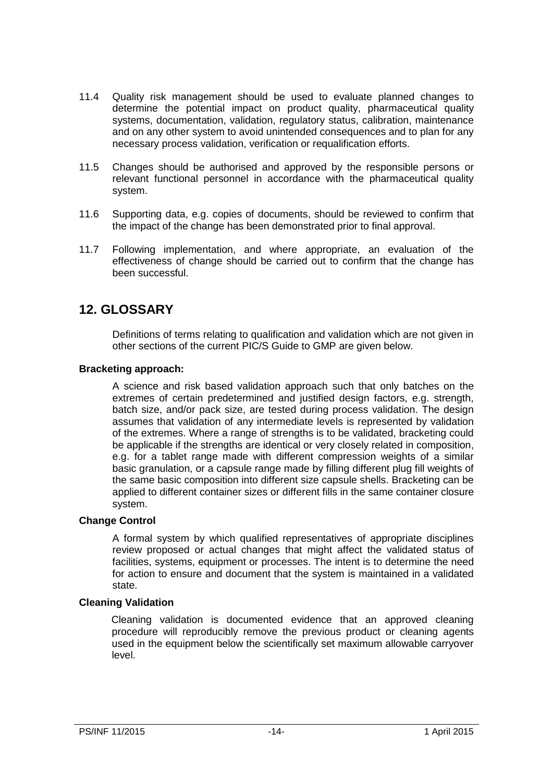- 11.4 Quality risk management should be used to evaluate planned changes to determine the potential impact on product quality, pharmaceutical quality systems, documentation, validation, regulatory status, calibration, maintenance and on any other system to avoid unintended consequences and to plan for any necessary process validation, verification or requalification efforts.
- 11.5 Changes should be authorised and approved by the responsible persons or relevant functional personnel in accordance with the pharmaceutical quality system.
- 11.6 Supporting data, e.g. copies of documents, should be reviewed to confirm that the impact of the change has been demonstrated prior to final approval.
- 11.7 Following implementation, and where appropriate, an evaluation of the effectiveness of change should be carried out to confirm that the change has been successful.

# **12. GLOSSARY**

Definitions of terms relating to qualification and validation which are not given in other sections of the current PIC/S Guide to GMP are given below.

#### **Bracketing approach:**

A science and risk based validation approach such that only batches on the extremes of certain predetermined and justified design factors, e.g. strength, batch size, and/or pack size, are tested during process validation. The design assumes that validation of any intermediate levels is represented by validation of the extremes. Where a range of strengths is to be validated, bracketing could be applicable if the strengths are identical or very closely related in composition, e.g. for a tablet range made with different compression weights of a similar basic granulation, or a capsule range made by filling different plug fill weights of the same basic composition into different size capsule shells. Bracketing can be applied to different container sizes or different fills in the same container closure system.

#### **Change Control**

A formal system by which qualified representatives of appropriate disciplines review proposed or actual changes that might affect the validated status of facilities, systems, equipment or processes. The intent is to determine the need for action to ensure and document that the system is maintained in a validated state.

#### **Cleaning Validation**

Cleaning validation is documented evidence that an approved cleaning procedure will reproducibly remove the previous product or cleaning agents used in the equipment below the scientifically set maximum allowable carryover level.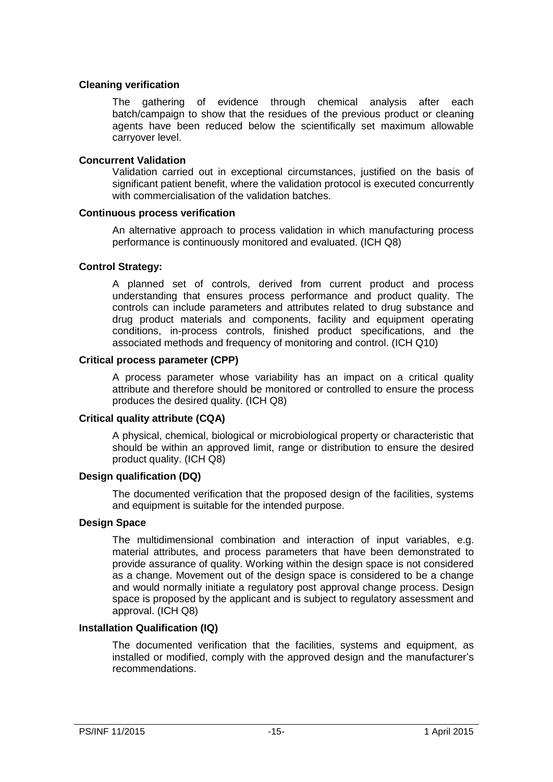#### **Cleaning verification**

The gathering of evidence through chemical analysis after each batch/campaign to show that the residues of the previous product or cleaning agents have been reduced below the scientifically set maximum allowable carryover level.

#### **Concurrent Validation**

Validation carried out in exceptional circumstances, justified on the basis of significant patient benefit, where the validation protocol is executed concurrently with commercialisation of the validation batches.

#### **Continuous process verification**

An alternative approach to process validation in which manufacturing process performance is continuously monitored and evaluated. (ICH Q8)

#### **Control Strategy:**

A planned set of controls, derived from current product and process understanding that ensures process performance and product quality. The controls can include parameters and attributes related to drug substance and drug product materials and components, facility and equipment operating conditions, in-process controls, finished product specifications, and the associated methods and frequency of monitoring and control. (ICH Q10)

#### **Critical process parameter (CPP)**

A process parameter whose variability has an impact on a critical quality attribute and therefore should be monitored or controlled to ensure the process produces the desired quality. (ICH Q8)

#### **Critical quality attribute (CQA)**

A physical, chemical, biological or microbiological property or characteristic that should be within an approved limit, range or distribution to ensure the desired product quality. (ICH Q8)

#### **Design qualification (DQ)**

The documented verification that the proposed design of the facilities, systems and equipment is suitable for the intended purpose.

#### **Design Space**

The multidimensional combination and interaction of input variables, e.g. material attributes, and process parameters that have been demonstrated to provide assurance of quality. Working within the design space is not considered as a change. Movement out of the design space is considered to be a change and would normally initiate a regulatory post approval change process. Design space is proposed by the applicant and is subject to regulatory assessment and approval. (ICH Q8)

#### **Installation Qualification (IQ)**

The documented verification that the facilities, systems and equipment, as installed or modified, comply with the approved design and the manufacturer's recommendations.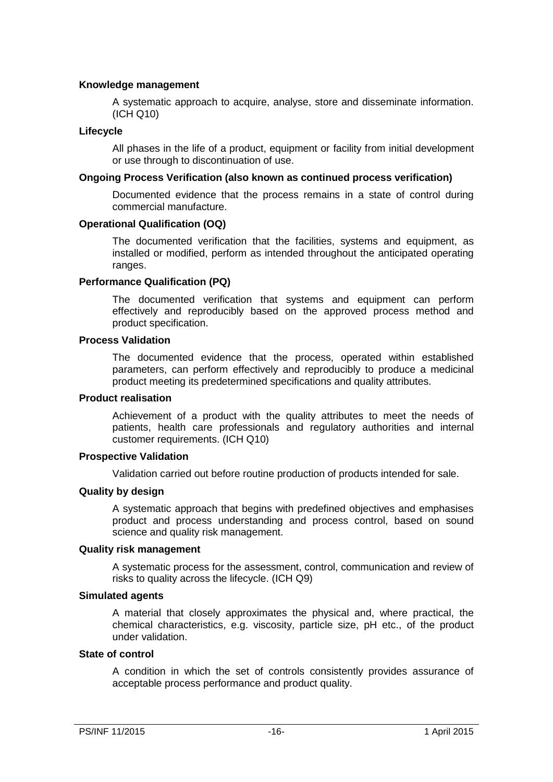#### **Knowledge management**

A systematic approach to acquire, analyse, store and disseminate information. (ICH Q10)

#### **Lifecycle**

All phases in the life of a product, equipment or facility from initial development or use through to discontinuation of use.

#### **Ongoing Process Verification (also known as continued process verification)**

Documented evidence that the process remains in a state of control during commercial manufacture.

#### **Operational Qualification (OQ)**

The documented verification that the facilities, systems and equipment, as installed or modified, perform as intended throughout the anticipated operating ranges.

#### **Performance Qualification (PQ)**

The documented verification that systems and equipment can perform effectively and reproducibly based on the approved process method and product specification.

#### **Process Validation**

The documented evidence that the process, operated within established parameters, can perform effectively and reproducibly to produce a medicinal product meeting its predetermined specifications and quality attributes.

#### **Product realisation**

Achievement of a product with the quality attributes to meet the needs of patients, health care professionals and regulatory authorities and internal customer requirements. (ICH Q10)

#### **Prospective Validation**

Validation carried out before routine production of products intended for sale.

#### **Quality by design**

A systematic approach that begins with predefined objectives and emphasises product and process understanding and process control, based on sound science and quality risk management.

#### **Quality risk management**

A systematic process for the assessment, control, communication and review of risks to quality across the lifecycle. (ICH Q9)

#### **Simulated agents**

A material that closely approximates the physical and, where practical, the chemical characteristics, e.g. viscosity, particle size, pH etc., of the product under validation.

#### **State of control**

A condition in which the set of controls consistently provides assurance of acceptable process performance and product quality.